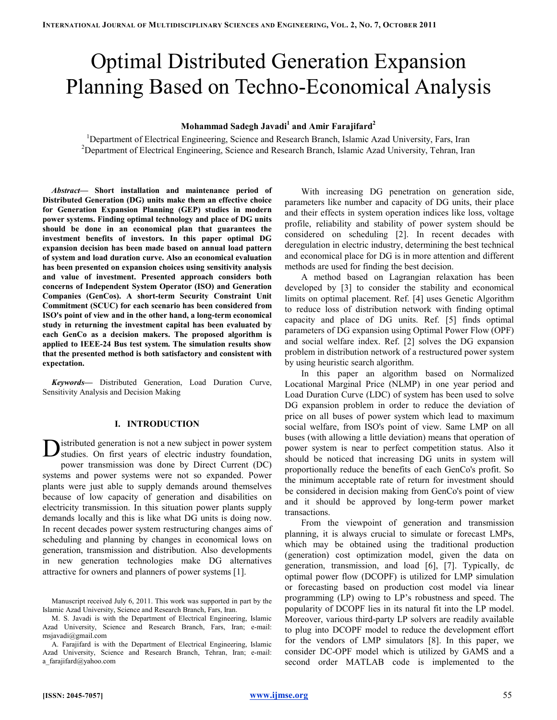# Optimal Distributed Generation Expansion Planning Based on Techno-Economical Analysis

# Mohammad Sadegh Javadi<sup>1</sup> and Amir Farajifard<sup>2</sup>

<sup>1</sup>Department of Electrical Engineering, Science and Research Branch, Islamic Azad University, Fars, Iran <sup>2</sup>Department of Electrical Engineering, Science and Research Branch, Islamic Azad University, Tehran, Iran

Abstract— Short installation and maintenance period of Distributed Generation (DG) units make them an effective choice for Generation Expansion Planning (GEP) studies in modern power systems. Finding optimal technology and place of DG units should be done in an economical plan that guarantees the investment benefits of investors. In this paper optimal DG expansion decision has been made based on annual load pattern of system and load duration curve. Also an economical evaluation has been presented on expansion choices using sensitivity analysis and value of investment. Presented approach considers both concerns of Independent System Operator (ISO) and Generation Companies (GenCos). A short-term Security Constraint Unit Commitment (SCUC) for each scenario has been considered from ISO's point of view and in the other hand, a long-term economical study in returning the investment capital has been evaluated by each GenCo as a decision makers. The proposed algorithm is applied to IEEE-24 Bus test system. The simulation results show that the presented method is both satisfactory and consistent with expectation.

Keywords— Distributed Generation, Load Duration Curve, Sensitivity Analysis and Decision Making

### I. INTRODUCTION

istributed generation is not a new subject in power system **D** istributed generation is not a new subject in power system studies. On first years of electric industry foundation, power transmission was done by Direct Current (DC) systems and power systems were not so expanded. Power plants were just able to supply demands around themselves because of low capacity of generation and disabilities on electricity transmission. In this situation power plants supply demands locally and this is like what DG units is doing now. In recent decades power system restructuring changes aims of scheduling and planning by changes in economical lows on generation, transmission and distribution. Also developments in new generation technologies make DG alternatives attractive for owners and planners of power systems [1].

With increasing DG penetration on generation side, parameters like number and capacity of DG units, their place and their effects in system operation indices like loss, voltage profile, reliability and stability of power system should be considered on scheduling [2]. In recent decades with deregulation in electric industry, determining the best technical and economical place for DG is in more attention and different methods are used for finding the best decision.

A method based on Lagrangian relaxation has been developed by [3] to consider the stability and economical limits on optimal placement. Ref. [4] uses Genetic Algorithm to reduce loss of distribution network with finding optimal capacity and place of DG units. Ref. [5] finds optimal parameters of DG expansion using Optimal Power Flow (OPF) and social welfare index. Ref. [2] solves the DG expansion problem in distribution network of a restructured power system by using heuristic search algorithm.

In this paper an algorithm based on Normalized Locational Marginal Price (NLMP) in one year period and Load Duration Curve (LDC) of system has been used to solve DG expansion problem in order to reduce the deviation of price on all buses of power system which lead to maximum social welfare, from ISO's point of view. Same LMP on all buses (with allowing a little deviation) means that operation of power system is near to perfect competition status. Also it should be noticed that increasing DG units in system will proportionally reduce the benefits of each GenCo's profit. So the minimum acceptable rate of return for investment should be considered in decision making from GenCo's point of view and it should be approved by long-term power market transactions.

From the viewpoint of generation and transmission planning, it is always crucial to simulate or forecast LMPs, which may be obtained using the traditional production (generation) cost optimization model, given the data on generation, transmission, and load [6], [7]. Typically, dc optimal power flow (DCOPF) is utilized for LMP simulation or forecasting based on production cost model via linear programming (LP) owing to LP's robustness and speed. The popularity of DCOPF lies in its natural fit into the LP model. Moreover, various third-party LP solvers are readily available to plug into DCOPF model to reduce the development effort for the vendors of LMP simulators [8]. In this paper, we consider DC-OPF model which is utilized by GAMS and a second order MATLAB code is implemented to the

Manuscript received July 6, 2011. This work was supported in part by the Islamic Azad University, Science and Research Branch, Fars, Iran.

M. S. Javadi is with the Department of Electrical Engineering, Islamic Azad University, Science and Research Branch, Fars, Iran; e-mail: msjavadi@gmail.com

A. Farajifard is with the Department of Electrical Engineering, Islamic Azad University, Science and Research Branch, Tehran, Iran; e-mail: a\_farajifard@yahoo.com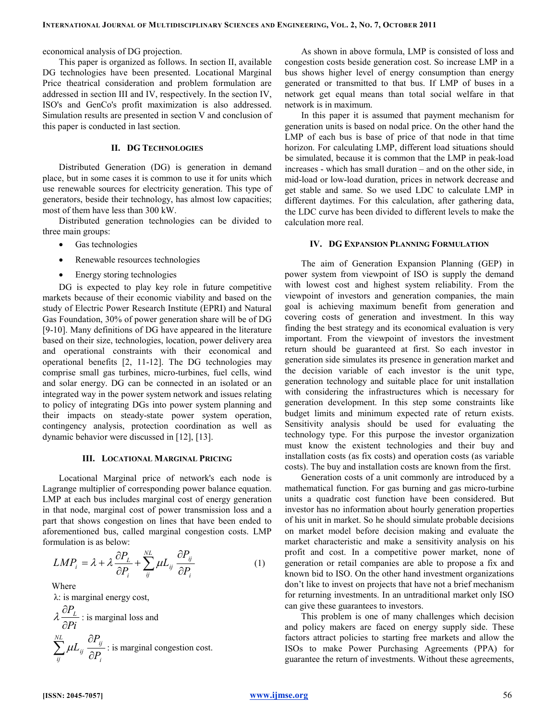economical analysis of DG projection.

This paper is organized as follows. In section II, available DG technologies have been presented. Locational Marginal Price theatrical consideration and problem formulation are addressed in section III and IV, respectively. In the section IV, ISO's and GenCo's profit maximization is also addressed. Simulation results are presented in section V and conclusion of this paper is conducted in last section.

# II. DG TECHNOLOGIES

Distributed Generation (DG) is generation in demand place, but in some cases it is common to use it for units which use renewable sources for electricity generation. This type of generators, beside their technology, has almost low capacities; most of them have less than 300 kW.

Distributed generation technologies can be divided to three main groups:

- Gas technologies
- Renewable resources technologies
- Energy storing technologies

DG is expected to play key role in future competitive markets because of their economic viability and based on the study of Electric Power Research Institute (EPRI) and Natural Gas Foundation, 30% of power generation share will be of DG [9-10]. Many definitions of DG have appeared in the literature based on their size, technologies, location, power delivery area and operational constraints with their economical and operational benefits [2, 11-12]. The DG technologies may comprise small gas turbines, micro-turbines, fuel cells, wind and solar energy. DG can be connected in an isolated or an integrated way in the power system network and issues relating to policy of integrating DGs into power system planning and their impacts on steady-state power system operation, contingency analysis, protection coordination as well as dynamic behavior were discussed in [12], [13].

### III. LOCATIONAL MARGINAL PRICING

Locational Marginal price of network's each node is Lagrange multiplier of corresponding power balance equation. LMP at each bus includes marginal cost of energy generation in that node, marginal cost of power transmission loss and a part that shows congestion on lines that have been ended to aforementioned bus, called marginal congestion costs. LMP formulation is as below:

$$
LMP_i = \lambda + \lambda \frac{\partial P_L}{\partial P_i} + \sum_{ij}^{NL} \mu L_{ij} \frac{\partial P_{ij}}{\partial P_i}
$$
 (1)

Where λ: is marginal energy cost,  $P_{L}$ Pi λ ∂  $\frac{L}{\partial P_i}$ : is marginal loss and  $\sum_{i=1}^{NL}$   $\partial P_{ij}$ ij ij  $U_{i}$ P L  $\mu L_{_{ij}} \frac{1}{\partial P_{_{ij}}}$ ∂  $\sum_{ii} \mu L_{ij} \frac{\partial I_{ij}}{\partial P_i}$ : is marginal congestion cost.

As shown in above formula, LMP is consisted of loss and congestion costs beside generation cost. So increase LMP in a bus shows higher level of energy consumption than energy generated or transmitted to that bus. If LMP of buses in a network get equal means than total social welfare in that network is in maximum.

In this paper it is assumed that payment mechanism for generation units is based on nodal price. On the other hand the LMP of each bus is base of price of that node in that time horizon. For calculating LMP, different load situations should be simulated, because it is common that the LMP in peak-load increases - which has small duration – and on the other side, in mid-load or low-load duration, prices in network decrease and get stable and same. So we used LDC to calculate LMP in different daytimes. For this calculation, after gathering data, the LDC curve has been divided to different levels to make the calculation more real.

# IV. DG EXPANSION PLANNING FORMULATION

The aim of Generation Expansion Planning (GEP) in power system from viewpoint of ISO is supply the demand with lowest cost and highest system reliability. From the viewpoint of investors and generation companies, the main goal is achieving maximum benefit from generation and covering costs of generation and investment. In this way finding the best strategy and its economical evaluation is very important. From the viewpoint of investors the investment return should be guaranteed at first. So each investor in generation side simulates its presence in generation market and the decision variable of each investor is the unit type, generation technology and suitable place for unit installation with considering the infrastructures which is necessary for generation development. In this step some constraints like budget limits and minimum expected rate of return exists. Sensitivity analysis should be used for evaluating the technology type. For this purpose the investor organization must know the existent technologies and their buy and installation costs (as fix costs) and operation costs (as variable costs). The buy and installation costs are known from the first.

Generation costs of a unit commonly are introduced by a mathematical function. For gas burning and gas micro-turbine units a quadratic cost function have been considered. But investor has no information about hourly generation properties of his unit in market. So he should simulate probable decisions on market model before decision making and evaluate the market characteristic and make a sensitivity analysis on his profit and cost. In a competitive power market, none of generation or retail companies are able to propose a fix and known bid to ISO. On the other hand investment organizations don't like to invest on projects that have not a brief mechanism for returning investments. In an untraditional market only ISO can give these guarantees to investors.

This problem is one of many challenges which decision and policy makers are faced on energy supply side. These factors attract policies to starting free markets and allow the ISOs to make Power Purchasing Agreements (PPA) for guarantee the return of investments. Without these agreements,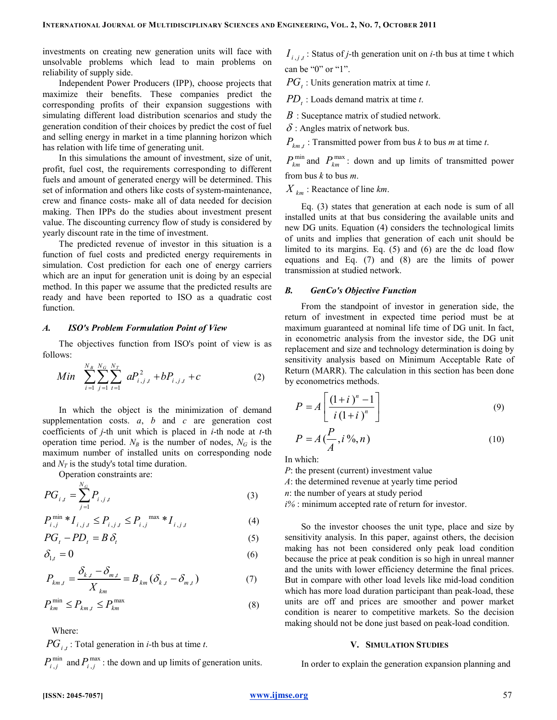investments on creating new generation units will face with unsolvable problems which lead to main problems on reliability of supply side.

Independent Power Producers (IPP), choose projects that maximize their benefits. These companies predict the corresponding profits of their expansion suggestions with simulating different load distribution scenarios and study the generation condition of their choices by predict the cost of fuel and selling energy in market in a time planning horizon which has relation with life time of generating unit.

In this simulations the amount of investment, size of unit, profit, fuel cost, the requirements corresponding to different fuels and amount of generated energy will be determined. This set of information and others like costs of system-maintenance, crew and finance costs- make all of data needed for decision making. Then IPPs do the studies about investment present value. The discounting currency flow of study is considered by yearly discount rate in the time of investment.

The predicted revenue of investor in this situation is a function of fuel costs and predicted energy requirements in simulation. Cost prediction for each one of energy carriers which are an input for generation unit is doing by an especial method. In this paper we assume that the predicted results are ready and have been reported to ISO as a quadratic cost function.

#### A. ISO's Problem Formulation Point of View

The objectives function from ISO's point of view is as follows:

Min 
$$
\sum_{i=1}^{N_B} \sum_{j=1}^{N_G} \sum_{t=1}^{N_T} a P_{i,j,t}^2 + b P_{i,j,t} + c
$$
 (2)

In which the object is the minimization of demand supplementation costs.  $a$ ,  $b$  and  $c$  are generation cost coefficients of  $j$ -th unit which is placed in  $i$ -th node at  $t$ -th operation time period.  $N_B$  is the number of nodes,  $N_G$  is the maximum number of installed units on corresponding node and  $N_T$  is the study's total time duration.

Operation constraints are:

$$
PG_{i,t} = \sum_{j=1}^{N_G} P_{i,j,t}
$$
 (3)

$$
P_{i,j}^{\min} * I_{i,j,t} \leq P_{i,j,t} \leq P_{i,j}^{\max} * I_{i,j,t}
$$
 (4)

$$
PG_t - PD_t = B \delta_t \tag{5}
$$

$$
\delta_{1,t} = 0 \tag{6}
$$

$$
P_{km,t} = \frac{\delta_{k,t} - \delta_{m,t}}{X_{km}} = B_{km} (\delta_{k,t} - \delta_{m,t})
$$
 (7)

$$
P_{km}^{\min} \le P_{km,t} \le P_{km}^{\max} \tag{8}
$$

Where:

 $PG_{i,t}$ : Total generation in *i*-th bus at time *t*.

 $P_{i,j}^{\min}$  and  $P_{i,j}^{\max}$ : the down and up limits of generation units.

 $I_{i,j,t}$ : Status of *j*-th generation unit on *i*-th bus at time t which can be "0" or "1".

 $PG_t$ : Units generation matrix at time t.

 $PD_t$ : Loads demand matrix at time t.

 $B$ : Suceptance matrix of studied network.

 $\delta$ : Angles matrix of network bus.

 $P_{km,t}$ : Transmitted power from bus k to bus m at time t.

 $P_{km}^{min}$  and  $P_{km}^{max}$ : down and up limits of transmitted power from bus  $k$  to bus  $m$ .

 $X_{km}$ : Reactance of line km.

Eq. (3) states that generation at each node is sum of all installed units at that bus considering the available units and new DG units. Equation (4) considers the technological limits of units and implies that generation of each unit should be limited to its margins. Eq. (5) and (6) are the dc load flow equations and Eq. (7) and (8) are the limits of power transmission at studied network.

## B. GenCo's Objective Function

From the standpoint of investor in generation side, the return of investment in expected time period must be at maximum guaranteed at nominal life time of DG unit. In fact, in econometric analysis from the investor side, the DG unit replacement and size and technology determination is doing by sensitivity analysis based on Minimum Acceptable Rate of Return (MARR). The calculation in this section has been done by econometrics methods.

$$
P = A \left[ \frac{(1+i)^n - 1}{i (1+i)^n} \right]
$$
\n(9)

$$
P = A\left(\frac{P}{A}, i\,\%, n\right) \tag{10}
$$

In which:

P: the present (current) investment value

A: the determined revenue at yearly time period

n: the number of years at study period

 $i\%$ : minimum accepted rate of return for investor.

So the investor chooses the unit type, place and size by sensitivity analysis. In this paper, against others, the decision making has not been considered only peak load condition because the price at peak condition is so high in unreal manner and the units with lower efficiency determine the final prices. But in compare with other load levels like mid-load condition which has more load duration participant than peak-load, these units are off and prices are smoother and power market condition is nearer to competitive markets. So the decision making should not be done just based on peak-load condition.

#### V. SIMULATION STUDIES

In order to explain the generation expansion planning and

# [ISSN: 2045-7057] www.ijmse.org 57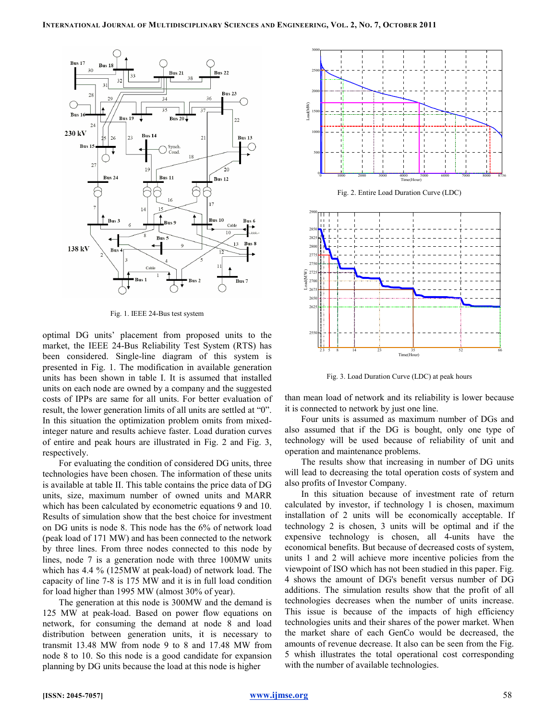

Fig. 1. IEEE 24-Bus test system

optimal DG units' placement from proposed units to the market, the IEEE 24-Bus Reliability Test System (RTS) has been considered. Single-line diagram of this system is presented in Fig. 1. The modification in available generation units has been shown in table I. It is assumed that installed units on each node are owned by a company and the suggested costs of IPPs are same for all units. For better evaluation of result, the lower generation limits of all units are settled at "0". In this situation the optimization problem omits from mixedinteger nature and results achieve faster. Load duration curves of entire and peak hours are illustrated in Fig. 2 and Fig. 3, respectively.

For evaluating the condition of considered DG units, three technologies have been chosen. The information of these units is available at table II. This table contains the price data of DG units, size, maximum number of owned units and MARR which has been calculated by econometric equations 9 and 10. Results of simulation show that the best choice for investment on DG units is node 8. This node has the 6% of network load (peak load of 171 MW) and has been connected to the network by three lines. From three nodes connected to this node by lines, node 7 is a generation node with three 100MW units which has 4.4 % (125MW at peak-load) of network load. The capacity of line 7-8 is 175 MW and it is in full load condition for load higher than 1995 MW (almost 30% of year).

The generation at this node is 300MW and the demand is 125 MW at peak-load. Based on power flow equations on network, for consuming the demand at node 8 and load distribution between generation units, it is necessary to transmit 13.48 MW from node 9 to 8 and 17.48 MW from node 8 to 10. So this node is a good candidate for expansion planning by DG units because the load at this node is higher



Fig. 2. Entire Load Duration Curve (LDC)



Fig. 3. Load Duration Curve (LDC) at peak hours

than mean load of network and its reliability is lower because it is connected to network by just one line.

Four units is assumed as maximum number of DGs and also assumed that if the DG is bought, only one type of technology will be used because of reliability of unit and operation and maintenance problems.

The results show that increasing in number of DG units will lead to decreasing the total operation costs of system and also profits of Investor Company.

In this situation because of investment rate of return calculated by investor, if technology 1 is chosen, maximum installation of 2 units will be economically acceptable. If technology 2 is chosen, 3 units will be optimal and if the expensive technology is chosen, all 4-units have the economical benefits. But because of decreased costs of system, units 1 and 2 will achieve more incentive policies from the viewpoint of ISO which has not been studied in this paper. Fig. 4 shows the amount of DG's benefit versus number of DG additions. The simulation results show that the profit of all technologies decreases when the number of units increase. This issue is because of the impacts of high efficiency technologies units and their shares of the power market. When the market share of each GenCo would be decreased, the amounts of revenue decrease. It also can be seen from the Fig. 5 whish illustrates the total operational cost corresponding with the number of available technologies.